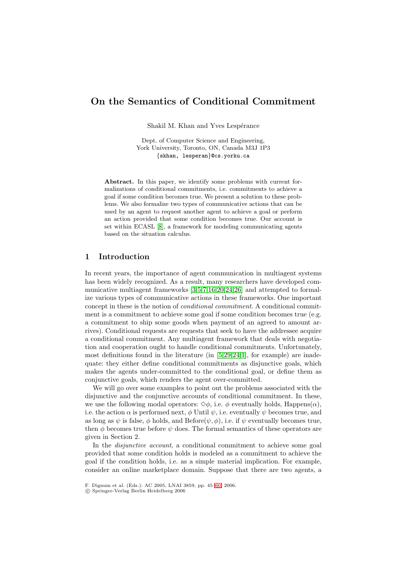# **On the Semantics of Conditional Commitment**

Shakil M. Khan and Yves Lespérance

Dept. of Computer Science and Engineering, York University, Toronto, ON, Canada M3J 1P3 {skhan, lesperan}@cs.yorku.ca

**Abstract.** In this paper, we identify some problems with current formalizations of conditional commitments, i.e. commitments to achieve a goal if some condition becomes true. We present a solution to these problems. We also formalize two types of communicative actions that can be used by an agent to request another agent to achieve a goal or perform an action provided that some condition becomes true. Our account is set within ECASL [8], a framework for modeling communicating agents based on the situation calculus.

# **1 Introduction**

In recent years, the importance of agent communication in multiagent systems has been widely recognized. As a result, many researchers have developed communicative multiagent frameworks [3,5,7,16,20,24,26] and attempted to formalize various types of communicative actions in these frameworks. One important concept in these is the notion of *conditional commitment*. A conditional commitment is a commitment to achieve some goal if some condition becomes true (e.g. a commitment to ship some goods [w](#page-14-0)[h](#page-14-1)[en](#page-14-2) [p](#page-15-0)[aym](#page-15-1)[en](#page-15-2)[t o](#page-15-3)f an agreed to amount arrives). Conditional requests are requests that seek to have the addressee acquire a conditional commitment. Any multiagent framework that deals with negotiation and cooperation ought to handle conditional commitments. Unfortunately, most definitions found in the literature (in  $[5,29,24,1]$ , for example) are inadequate: they either define conditional commitments as disjunctive goals, which makes the agents under-committed to the conditional goal, or define them as conjunctive goals, which renders the agent over-committed.

We will go over some examples to point o[ut](#page-14-1) [th](#page-15-4)[e p](#page-15-2)[rob](#page-14-3)lems associated with the disjunctive and the conjunctive accounts of conditional commitment. In these, we use the following modal operators:  $\diamondsuit \phi$ , i.e.  $\phi$  eventually holds, Happens $(\alpha)$ , i.e. the action  $\alpha$  is performed next,  $\phi$  Until  $\psi$ , i.e. eventually  $\psi$  becomes true, and as long as  $\psi$  is false,  $\phi$  holds, and Before( $\psi, \phi$ ), i.e. if  $\psi$  eventually becomes true, then  $\phi$  becomes true before  $\psi$  does. The formal semantics of these operators are given in Section 2.

In the *disjunctive account*, a conditional commitment to achieve some goal provided that some condition holds is modeled as a commitment to achieve the goal if the condition holds, i.e. as a simple material implication. For example, consider an online marketplace domain. Suppose that there are two agents, a

F. Dignum et al. (Eds.): AC 2005, LNAI 3859, pp. 45–60, 2006.

<sup>-</sup>c Springer-Verlag Berlin Heidelberg 2006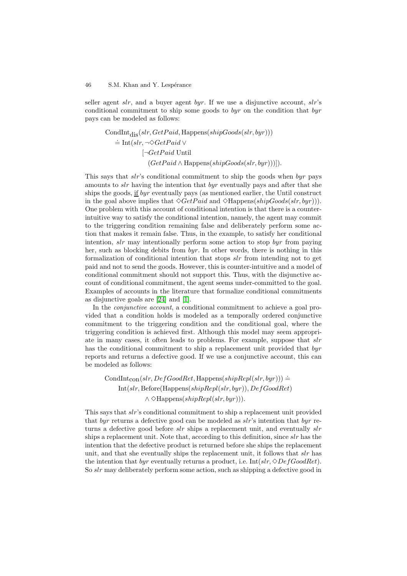seller agent  $slr$ , and a buyer agent by r. If we use a disjunctive account,  $slr$ 's conditional commitment to ship some goods to  $byr$  on the condition that  $byr$ pays can be modeled as follows:

$$
Condlnt_{dis}(slr, GetPaid, Happens(shipGoods (slr, byr)))
$$
  
\n
$$
\doteq Int(slr, \neg \Diamond GetPaid \lor
$$
  
\n
$$
[\neg GetPaid \lor \text{Happens}(shipGoods (slr, byr)))]).
$$

This says that  $slr$ 's conditional commitment to ship the goods when byr pays amounts to slr having the intention that byr eventually pays and after that she ships the goods, if byr eventually pays (as mentioned earlier, the Until construct in the goal above implies that  $\Diamond GetPaul$  and  $\Diamond Happens(shipGoods(slr, byr))$ . One problem with this account of conditional intention is that there is a counterintuitive way to satisfy the conditional intention, namely, the agent may commit to the triggering condition remaining false and deliberately perform some action that makes it remain false. Thus, in the example, to satisfy her conditional intention,  $slr$  may intentionally perform some action to stop *by from paying* her, such as blocking debits from byr. In other words, there is nothing in this formalization of conditional intention that stops slr from intending not to get paid and not to send the goods. However, this is counter-intuitive and a model of conditional commitment should not support this. Thus, with the disjunctive account of conditional commitment, the agent seems under-committed to the goal. Examples of accounts in the literature that formalize conditional commitments as disjunctive goals are [24] and [1].

In the *conjunctive account*, a conditional commitment to achieve a goal provided that a condition holds is modeled as a temporally ordered conjunctive commitment to the triggering condition and the conditional goal, where the triggering condition is a[chi](#page-15-2)eved [firs](#page-14-3)t. Although this model may seem appropriate in many cases, it often leads to problems. For example, suppose that slr has the conditional commitment to ship a replacement unit provided that byr reports and returns a defective good. If we use a conjunctive account, this can be modeled as follows:

 $\text{CondInt}_{con}(slr, DefGoodRet, \text{Happens}(shipRepl(slr, byr))) \doteq$  $Int(slr, Before(Happens(shipRepl(slr, byr)), DefGoodRet)$  $\land \Diamond$ Happens(ship $Repl(slr, byr)$ ).

This says that slr's conditional commitment to ship a replacement unit provided that by r returns a defective good can be modeled as  $slr$ 's intention that by r returns a defective good before slr ships a replacement unit, and eventually slr ships a replacement unit. Note that, according to this definition, since slr has the intention that the defective product is returned before she ships the replacement unit, and that she eventually ships the replacement unit, it follows that  $slr$  has the intention that by eventually returns a product, i.e.  $Int(slr, \Diamond DefGoodRet)$ . So slr may deliberately perform some action, such as shipping a defective good in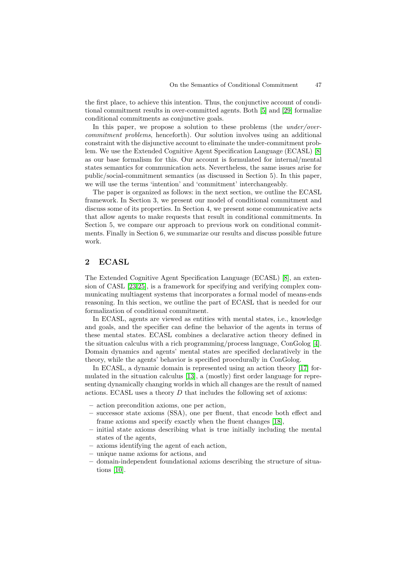the first place, to achieve this intention. Thus, the conjunctive account of conditional commitment results in over-committed agents. Both [5] and [29] formalize conditional commitments as conjunctive goals.

In this paper, we propose a solution to these problems (the *under/overcommitment problems*, henceforth). Our solution involves using an additional constraint with the disjunctive account to eliminate the und[er-](#page-14-1)com[mitm](#page-15-4)ent problem. We use the Extended Cognitive Agent Specification Language (ECASL) [8] as our base formalism for this. Our account is formulated for internal/mental states semantics for communication acts. Nevertheless, the same issues arise for public/social-commitment semantics (as discussed in Section 5). In this paper, we will use the terms 'intention' and 'commitment' interchangeably.

The paper is organized as follows: in the next section, we outline the ECASL framework. In Section 3, we present our model of conditional commitment and discuss some of its properties. In Section 4, we present some communicative acts that allow agents to make requests that result in conditional commitments. In Section 5, we compare our approach to previous work on conditional commitments. Finally in Section 6, we summarize our results and discuss possible future work.

# **2 ECASL**

The Extended Cognitive Agent Specification Language (ECASL) [8], an extension of CASL [23,25], is a framework for specifying and verifying complex communicating multiagent systems that incorporates a formal model of means-ends reasoning. In this section, we outline the part of ECASL that is needed for our formalization of conditional commitment.

In ECASL, [ag](#page-15-5)[ents](#page-15-6) are viewed as entities with mental states, i.e., knowledge and goals, and the specifier can define the behavior of the agents in terms of these mental states. ECASL combines a declarative action theory defined in the situation calculus with a rich programming/process language, ConGolog [4]. Domain dynamics and agents' mental states are specified declaratively in the theory, while the agents' behavior is specified procedurally in ConGolog.

In ECASL, a dynamic domain is represented using an action theory [17] formulated in the situation calculus [13], a (mostly) first order language for rep[re](#page-14-4)senting dynamically changing worlds in which all changes are the result of named actions. ECASL uses a theory D that includes the following set of axioms:

- **–** action precondition axioms, one per action,
- **–** successor state axioms (SSA)[,](#page-15-7) [on](#page-15-7)e per fluent, that encode both effect and frame axioms and specify exactly when the fluent changes [18],
- **–** initial state axioms describing what is true initially including the mental states of the agents,
- **–** axioms identifying the agent of each action,
- **–** unique name axioms for actions, and
- **–** domain-independent foundational axioms describing the structure of situations [10].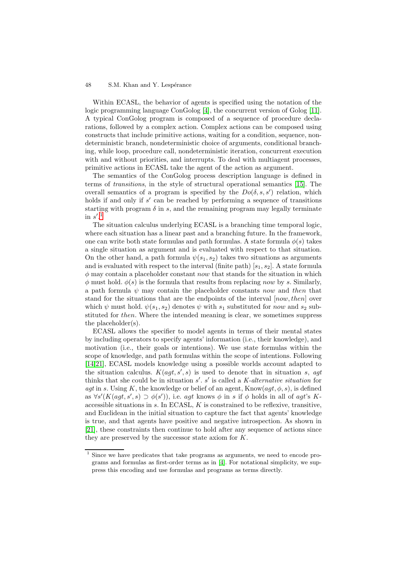Within ECASL, the behavior of agents is specified using the notation of the logic programming language ConGolog [4], the concurrent version of Golog [11]. A typical ConGolog program is composed of a sequence of procedure declarations, followed by a complex action. Complex actions can be composed using constructs that include primitive actions, waiting for a condition, sequence, nondeterministic branch, nondeterministic [cho](#page-14-4)ice of arguments, conditional bra[nch](#page-15-8)ing, while loop, procedure call, nondeterministic iteration, concurrent execution with and without priorities, and interrupts. To deal with multiagent processes, primitive actions in ECASL take the agent of the action as argument.

The semantics of the ConGolog process description language is defined in terms of *transitions*, in the style of structural operational semantics [15]. The overall semantics of a program is specified by the  $Do(\delta, s, s')$  relation, which holds if and only if  $s'$  can be reached by performing a sequence of transitions starting with program  $\delta$  in s, and the remaining program may legally terminate in  $s'.^1$ 

The situation calculus underlying ECASL is a branching time temporal logic, where each situation has a linear past and a branching future. In the framework, one can write both state formulas and path formulas. A state formula  $\phi(s)$  takes a si[ngl](#page-3-0)e situation as argument and is evaluated with respect to that situation. On the other hand, a path formula  $\psi(s_1, s_2)$  takes two situations as arguments and is evaluated with respect to the interval (finite path)  $[s_1, s_2]$ . A state formula  $\phi$  may contain a placeholder constant now that stands for the situation in which  $\phi$  must hold.  $\phi(s)$  is the formula that results from replacing now by s. Similarly, a path formula  $\psi$  may contain the placeholder constants now and then that stand for the situations that are the endpoints of the interval  $[now, then]$  over which  $\psi$  must hold.  $\psi(s_1, s_2)$  denotes  $\psi$  with  $s_1$  substituted for now and  $s_2$  substituted for *then*. Where the intended meaning is clear, we sometimes suppress the placeholder(s).

ECASL allows the specifier to model agents in terms of their mental states by including operators to specify agents' information (i.e., their knowledge), and motivation (i.e., their goals or intentions). We use state formulas within the scope of knowledge, and path formulas within the scope of intentions. Following [14,21], ECASL models knowledge using a possible worlds account adapted to the situation calculus.  $K(agt, s', s)$  is used to denote that in situation s, agt thinks that she could be in situation s'. s' is called a *K-alternative situation* for *agt* in s. Using K, the knowledge or belief of an agent, Know $(aqt, \phi, s)$ , is defined [as](#page-15-9)  $\forall s'(K(agt, s', s) \supset \phi(s'))$  $\forall s'(K(agt, s', s) \supset \phi(s'))$  $\forall s'(K(agt, s', s) \supset \phi(s'))$ , i.e. agt knows  $\phi$  in s if  $\phi$  holds in all of agt's Kaccessible situations in  $s$ . In ECASL,  $K$  is constrained to be reflexive, transitive, and Euclidean in the initial situation to capture the fact that agents' knowledge is true, and that agents have positive and negative introspection. As shown in [21], these constraints then continue to hold after any sequence of actions since they are preserved by the successor state axiom for K.

<span id="page-3-0"></span><sup>&</sup>lt;sup>1</sup> Since we have predicates that take programs as arguments, we need to encode pro[g](#page-15-10)rams and formulas as first-order terms as in [4]. For notational simplicity, we suppress this encoding and use formulas and programs as terms directly.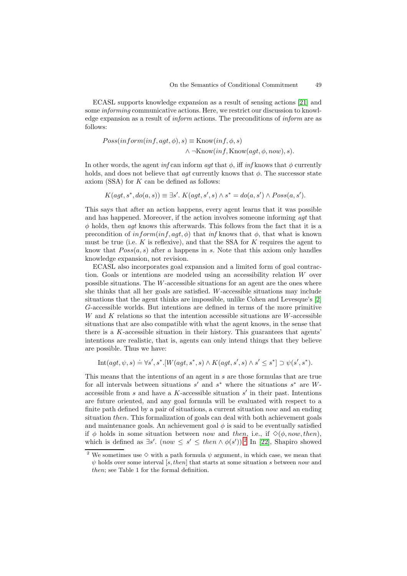ECASL supports knowledge expansion as a result of sensing actions [21] and some *informing* communicative actions. Here, we restrict our discussion to knowledge expansion as a result of *inform* actions. The preconditions of *inform* are as follows:

$$
Poss(inform(inf,agt, \phi), s) \equiv \text{Know}(inf, \phi, s)
$$

$$
\land \neg \text{Know}(inf, \text{Know}(agt, \phi, now), s).
$$

In other words, the agent *inf* can inform *agt* that  $\phi$ , iff *inf* knows that  $\phi$  currently holds, and does not believe that  $agt$  currently knows that  $\phi$ . The successor state axiom  $(SSA)$  for  $K$  can be defined as follows:

$$
K(agt, s^*, do(a, s)) \equiv \exists s'. K(agt, s', s) \land s^* = do(a, s') \land Poss(a, s').
$$

This says that after an action happens, every agent learns that it was possible and has happened. Moreover, if the action involves someone informing *agt* that  $\phi$  holds, then *agt* knows this afterwards. This follows from the fact that it is a precondition of  $information(inf, agt, \phi)$  that  $inf$  knows that  $\phi$ , that what is known must be true (i.e. K is reflexive), and that the SSA for K requires the agent to know that  $Poss(a, s)$  after a happens in s. Note that this axiom only handles knowledge expansion, not revision.

ECASL also incorporates goal expansion and a limited form of goal contraction. Goals or intentions are modeled using an accessibility relation W over possible situations. The W-accessible situations for an agent are the ones where she thinks that all her goals are satisfied. W-accessible situations may include situations that the agent thinks are impossible, unlike Cohen and Levesque's [2] G-accessible worlds. But intentions are defined in terms of the more primitive W and K relations so that the intention accessible situations are  $W$ -accessible situations that are also compatible with what the agent knows, in the sense that there is a  $K$ -accessible situation in their history. This guarantees that agen[ts'](#page-14-5) intentions are realistic, that is, agents can only intend things that they believe are possible. Thus we have:

$$
\mathrm{Int}(agt,\psi,s)\doteq \forall s',s^*. [W(agt,s^*,s) \wedge K(agt,s',s) \wedge s' \leq s^*] \supset \psi(s',s^*).
$$

This means that the intentions of an agent in s are those formulas that are true for all intervals between situations s' and s<sup>\*</sup> where the situations s<sup>\*</sup> are Waccessible from s and have a K-accessible situation  $s'$  in their past. Intentions are future oriented, and any goal formula will be evaluated with respect to a finite path defined by a pair of situations, a current situation now and an ending situation then. This formalization of goals can deal with both achievement goals and maintenance goals. An achievement goal  $\phi$  is said to be eventually satisfied if  $\phi$  holds in some situation between now and then, i.e., if  $\Diamond(\phi, now, then)$ , which is defined as  $\exists s'$ . (now  $\leq s' \leq then \wedge \phi(s')$ ).<sup>2</sup> In [22], Shapiro showed

<sup>&</sup>lt;sup>2</sup> We sometimes use  $\diamond$  with a path formula  $\psi$  argument, in which case, we mean that  $\psi$  holds over some interval [s, then] that starts at some situation s between now and then; see Table 1 for the formal definition.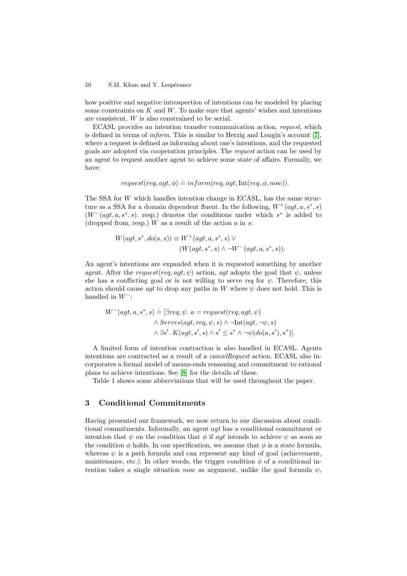how positive and negative introspection of intentions can be modeled by placing some constraints on  $K$  and  $W$ . To make sure that agents' wishes and intentions are consistent, W is also constrained to be serial.

ECASL provides an intention transfer communication action, *request*, which is defined in terms of *inform*. This is similar to Herzig and Longin's account [7], where a request is defined as informing about one's intentions, and the requested goals are adopted via cooperation principles. The *request* action can be used by an agent to request another agent to achieve some state of affairs. Formally, we have:

$$
request(req,agt, \phi) \doteq inform(req,agt,Int(req, \phi, now)).
$$

The SSA for W which handles intention change in ECASL, has the same structure as a SSA for a domain dependent fluent. In the following,  $W^+(agt, a, s^*, s)$  $(W^-(agt, a, s^*, s)$ , resp.) denotes the conditions under which s<sup>\*</sup> is added to (dropped from, resp.) W as a result of the action  $a$  in  $s$ :

$$
W(agt, s^*, do(a, s)) \equiv W^+(agt, a, s^*, s) \vee (W(agt, s^*, s) \wedge \neg W^-(agt, a, s^*, s)).
$$

An agent's intentions are expanded when it is requested something by another agent. After the request(req, agt,  $\psi$ ) action, agt adopts the goal that  $\psi$ , unless she has a conflicting goal or is not willing to serve *req* for  $\psi$ . Therefore, this action should cause *agt* to drop any paths in W where  $\psi$  does not hold. This is handled in  $W^-$ :

$$
W^-(agt, a, s^*, s) \doteq [\exists req, \psi. a = request(req,agt, \psi) \land Serves(agt, req, \psi, s) \land \neg Int(agt, \neg \psi, s) \land \exists s'. K(agt, s', s) \land s' \leq s^* \land \neg \psi(do(a, s'), s^*)].
$$

A limited form of intention contraction is also handled in ECASL. Agents intentions are contracted as a result of a *cancelRequest* action. ECASL also incorporates a formal model of means-ends reasoning and commitment to rational plans to achieve intentions. See [8] for the details of these.

Table 1 shows some abbreviations that will be used throughout the paper.

# **3 Conditional Commi[tm](#page-14-6)ents**

Having presented our framework, we now return to our discussion about conditional commitments. Informally, an agent agt has a conditional commitment or intention that  $\psi$  on the condition that  $\phi$  if agt intends to achieve  $\psi$  as soon as the condition  $\phi$  holds. In our specification, we assume that  $\phi$  is a state formula, whereas  $\psi$  is a path formula and can represent any kind of goal (achievement, maintenance, etc.). In other words, the trigger condition  $\phi$  of a conditional intention takes a single situation now as argument, unlike the goal formula  $\psi$ ,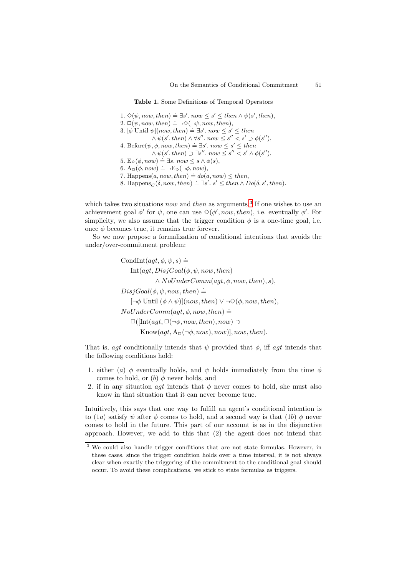**Table 1.** Some Definitions of Temporal Operators

1.  $\Diamond(\psi, now, then) \doteq \exists s'. now \leq s' \leq then \land \psi(s', then),$  $(1. \vee (\psi, now, then) = \exists s \cdot now \leq s \leq the$ <br> $2. \Box(\psi, now, then) \doteq \neg \Diamond(\neg \psi, now, then),$  $3.$   $\lbrack \phi \text{Until } \psi \rbrack (now, then) = \exists s'. now \leq s' \leq then$  $\land \psi(s', then) \land \forall s''. now \leq s'' < s' \supset \phi(s''),$  $\lor \psi(s, then) \land \lor s \therefore now \leq s \iff s \cup s$ <br>4. Before(ψ, φ, now, then) = ∃s'. now  $\leq s' \leq then$  $\land \psi(s', then) \supset \exists s''. now \leq s'' < s' \land \phi(s''),$  $\vee \vee \vee s$ , inen)  $\supset$  s . now<br>5. E $\Diamond(\phi, now) \doteq \exists s. now \leq s \land \phi(s),$ 5. Ε  $\diamond$  (φ, now) = 3*s*. now ≤ *s* ∧ (<br>6. A<sub>□</sub>(φ, now) = ¬E  $\diamond$  (¬φ, now), 0.  $A \square (\varphi, now) = \square \triangle (\square \varphi, now),$ <br>7. Happens(a, now, then)  $\doteq$  do(a, now)  $\leq$  then, *i*. Happens(*a*, *now*, *then*) =  $ao(a, now) \leq then$ ,<br>8. Happens<sub>C</sub>( $\delta$ , now, then) =  $\exists s'. s' \leq then \land Do(\delta, s', then)$ .

which takes two situations now and then as arguments.<sup>3</sup> If one wishes to use an achievement goal  $\phi'$  for  $\psi$ , one can use  $\Diamond(\phi', now, then)$ , i.e. eventually  $\phi'$ . For simplicity, we also assume that the trigger condition  $\phi$  is a one-time goal, i.e. once  $\phi$  becomes true, it remains true forever.

So we now propose a formalization of conditional i[nt](#page-6-0)entions that avoids the under/over-commitment problem:

> CondInt $(agt, \phi, \psi, s) \doteq$  $Int(aqt, DisjGoal(\phi, \psi, now, then))$  $\land \text{NoUnderComm}(agt, \phi, now, then), s),$  $DisjGoal(\phi, \psi, now, then) \doteq$  $[\neg \phi \text{ Until } (\phi \land \psi)](now, then) \lor \neg \Diamond(\phi, now, then),$  $Nol'nderComm(agt, \phi, now, then) =$  $\Box$ ([Int(agt,  $\Box(\neg \phi, now, then), now$ )  $\Box$  $Know(aqt, A<sub>□</sub>(¬φ, now), now)], now, then).$

That is, agt conditionally intends that  $\psi$  provided that  $\phi$ , iff agt intends that the following conditions hold:

- 1. either (a)  $\phi$  eventually holds, and  $\psi$  holds immediately from the time  $\phi$ comes to hold, or  $(b)$   $\phi$  never holds, and
- 2. if in any situation *agt* intends that  $\phi$  never comes to hold, she must also know in that situation that it can never become true.

Intuitively, this says that one way to fulfill an agent's conditional intention is to (1a) satisfy  $\psi$  after  $\phi$  comes to hold, and a second way is that (1b)  $\phi$  never comes to hold in the future. This part of our account is as in the disjunctive approach. However, we add to this that (2) the agent does not intend that

<span id="page-6-0"></span><sup>3</sup> We could also handle trigger conditions that are not state formulas. However, in these cases, since the trigger condition holds over a time interval, it is not always clear when exactly the triggering of the commitment to the conditional goal should occur. To avoid these complications, we stick to state formulas as triggers.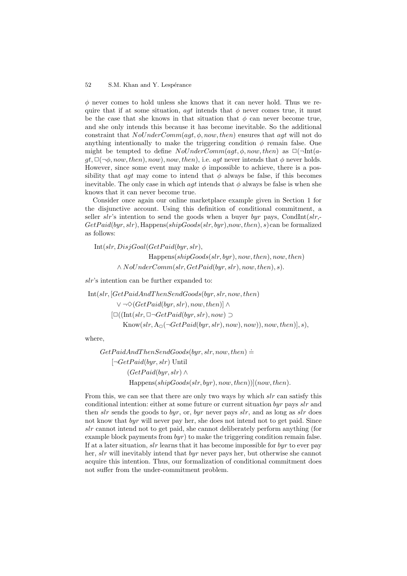$\phi$  never comes to hold unless she knows that it can never hold. Thus we require that if at some situation, agt intends that  $\phi$  never comes true, it must be the case that she knows in that situation that  $\phi$  can never become true, and she only intends this because it has become inevitable. So the additional constraint that  $NoUnderComm(agt, \phi, now, then)$  ensures that agt will not do anything intentionally to make the triggering condition  $\phi$  remain false. One might be tempted to define  $NoUnderComm(aqt, \phi, now, then)$  as  $\Box(\neg \text{Int}(a-t))$  $qt, \Box(\neg\phi, now, then), now), now, then), i.e. qqt never intends that  $\phi$  never holds.$ However, since some event may make  $\phi$  impossible to achieve, there is a possibility that *agt* may come to intend that  $\phi$  always be false, if this becomes inevitable. The only case in which *agt* intends that  $\phi$  always be false is when she knows that it can never become true.

Consider once again our online marketplace example given in Section 1 for the disjunctive account. Using this definition of conditional commitment, a seller  $slr$ 's intention to send the goods when a buyer by pays, CondInt $(slr$ - $GetPaid(byr, slr)$ , Happens( $shipGoods(shr, byr)$ , now, then), s) can be formalized as follows:

 $Int(slr, DisjGoal(Get Paid(byr, slr)),$  $Happens(shipGoods(slr, byr), now, then), now, then)$  $\wedge \text{NoUnderComm}(slr, GetPaid(byr, slr), now, then), s).$ 

 $slr$ 's intention can be further expanded to:

 $Int(slr, [GetPaidAndThenSendGoods(byr, slr, now, then)]$  $\vee \neg \Diamond (GetPaid(byr, slr), now, then) \wedge$  $\Box((\mathrm{Int}(slr, \Box \neg GetPaul(byr, slr), now) \supset$  $Know(slr, A<sub>□</sub>(¬GetPaid(byr, slr), now), now)), now, then)], s),$ 

where,

 $GetPaidAndThenSendGoods (byr, slr, now, then) \doteq$  $\neg GetPaid(byr, slr)$  Until  $(GetPaid(bur, slr) \wedge$  $Happens(shipGoods(str, byr), now, then)$ ](now, then).

From this, we can see that there are only two ways by which  $slr$  can satisfy this conditional intention: either at some future or current situation byr pays slr and then slr sends the goods to byr, or, byr never pays slr, and as long as slr does not know that byr will never pay her, she does not intend not to get paid. Since slr cannot intend not to get paid, she cannot deliberately perform anything (for example block payments from byr) to make the triggering condition remain false. If at a later situation,  $slr$  learns that it has become impossible for  $byr$  to ever pay her, slr will inevitably intend that byr never pays her, but otherwise she cannot acquire this intention. Thus, our formalization of conditional commitment does not suffer from the under-commitment problem.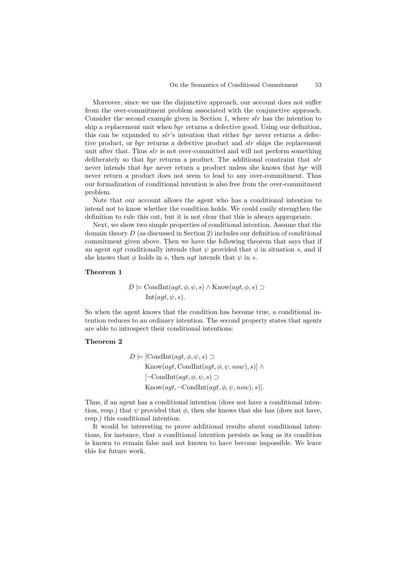Moreover, since we use the disjunctive approach, our account does not suffer from the over-commitment problem associated with the conjunctive approach. Consider the second example given in Section 1, where slr has the intention to ship a replacement unit when  $byr$  returns a defective good. Using our definition, this can be expanded to slr's intention that either byr never returns a defective product, or byr returns a defective product and slr ships the replacement unit after that. Thus  $slr$  is not over-committed and will not perform something deliberately so that byr returns a product. The additional constraint that slr never intends that byr never return a product unless she knows that byr will never return a product does not seem to lead to any over-commitment. Thus our formalization of conditional intention is also free from the over-commitment problem.

Note that our account allows the agent who has a conditional intention to intend not to know whether the condition holds. We could easily strengthen the definition to rule this out, but it is not clear that this is always appropriate.

Next, we show two simple properties of conditional intention. Assume that the domain theory D (as discussed in Section 2) includes our definition of conditional commitment given above. Then we have the following theorem that says that if an agent *agt* conditionally intends that  $\psi$  provided that  $\phi$  in situation s, and if she knows that  $\phi$  holds in s, then *agt* intends that  $\psi$  in s.

### **Theorem 1**

$$
D \models \text{Condlnt}(agt, \phi, \psi, s) \land \text{Know}(agt, \phi, s) \supset
$$
  

$$
\text{Int}(agt, \psi, s).
$$

So when the agent knows that the condition has become true, a conditional intention reduces to an ordinary intention. The second property states that agents are able to introspect their conditional intentions:

### **Theorem 2**

$$
D \models [\text{Condlnt}(agt, \phi, \psi, s) \supset
$$
  
Know(*agt*, CondInt(*agt*,  $\phi, \psi, now$ ), *s*)]  $\land$   
 $[\neg \text{Condlnt}(agt, \phi, \psi, s) \supset$   
Know(*agt*,  $\neg \text{Condlnt}(agt, \phi, \psi, now)$ , *s*)].

Thus, if an agent has a conditional intention (does not have a conditional intention, resp.) that  $\psi$  provided that  $\phi$ , then she knows that she has (does not have, resp.) this conditional intention.

It would be interesting to prove additional results about conditional intentions, for instance, that a conditional intention persists as long as its condition is known to remain false and not known to have become impossible. We leave this for future work.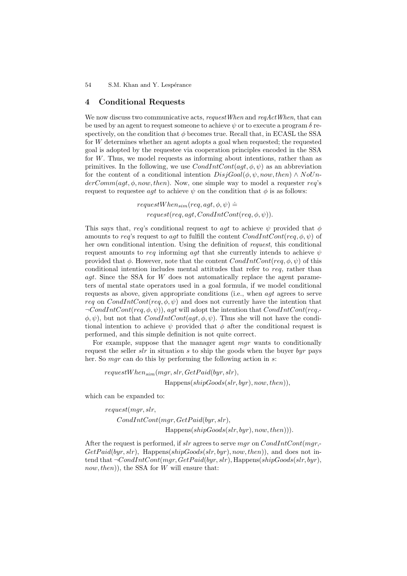# **4 Conditional Requests**

We now discuss two communicative acts, *requestWhen* and *reqActWhen*, that can be used by an agent to request someone to achieve  $\psi$  or to execute a program  $\delta$  respectively, on the condition that  $\phi$  becomes true. Recall that, in ECASL the SSA for W determines whether an agent adopts a goal when requested; the requested goal is adopted by the requestee via cooperation principles encoded in the SSA for W. Thus, we model requests as informing about intentions, rather than as primitives. In the following, we use  $CondIntCont(agt, \phi, \psi)$  as an abbreviation for the content of a conditional intention  $DisjGoal(\phi, \psi, now, then) \wedge NoUn$  $derComm(agt, \phi, now, then)$ . Now, one simple way to model a requester req's request to requestee *agt* to achieve  $\psi$  on the condition that  $\phi$  is as follows:

> $requestWhen_{sim}(req,agt, \phi, \psi) \doteq$  $request(req, aqt, CondIntCont(req, \phi, \psi)).$

This says that, req's conditional request to agt to achieve  $\psi$  provided that  $\phi$ amounts to req's request to agt to fulfill the content  $CondlntCont(req, \phi, \psi)$  of her own conditional intention. Using the definition of *request*, this conditional request amounts to req informing agt that she currently intends to achieve  $\psi$ provided that  $\phi$ . However, note that the content  $CondlntCont(req, \phi, \psi)$  of this conditional intention includes mental attitudes that refer to req, rather than agt. Since the SSA for W does not automatically replace the agent parameters of mental state operators used in a goal formula, if we model conditional requests as above, given appropriate conditions (i.e., when agt agrees to serve req on  $CondIntCont(req, \phi, \psi)$  and does not currently have the intention that  $\neg CondIntCont(req, \phi, \psi)$ , agt will adopt the intention that  $CondIntCont(req, (\phi, \psi)$ , but not that  $CondIntCont(agt, \phi, \psi)$ . Thus she will not have the conditional intention to achieve  $\psi$  provided that  $\phi$  after the conditional request is performed, and this simple definition is not quite correct.

For example, suppose that the manager agent mgr wants to conditionally request the seller  $slr$  in situation s to ship the goods when the buyer by pays her. So *mar* can do this by performing the following action in  $s$ .

 $requestWhen_{sim}(mgr, slr, GetPaid(byr, slr),$  $Happens(shipGoods(slr, bur), now, then)).$ 

which can be expanded to:

request(mgr, slr,  $CondlntCont(mgr, GetPaid(byr, slr),$  $Happens(shipGoods (slr, byr), now, then$  $)).$ 

After the request is performed, if  $slr$  agrees to serve mgr on  $CondlntCont(mgr,+)$  $GetPaid(byr, slr)$ , Happens( $shipGoods(slr, byr)$ , now, then)), and does not intend that  $\neg CondIntCont(mgr, GetPaid(byr, slr), Happens(shipGoods(slr, byr),$  $now, then)$ , the SSA for W will ensure that: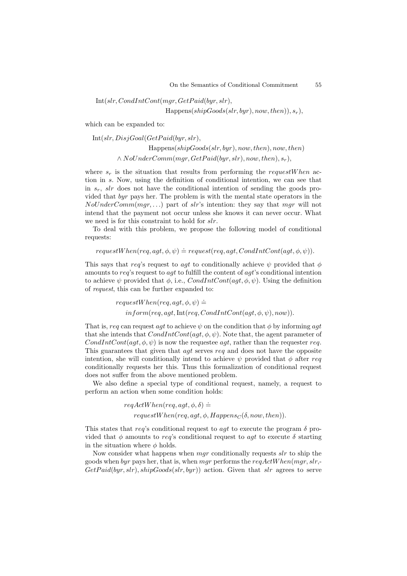$Int(slr, CondIntCont(mgr, GetPaid(byr, slr)),$  $Happens(shipGoods (slr, byr), now, then)), s_r),$ 

which can be expanded to:

 $Int(slr, DisjGoal(Get Paid(byr, slr),$  $Happens(shipGoods (slr, byr), now, then), now, then)$  $\land \text{NoUnderComm(mgr, GetPaid(byr, slr), now, then), }$ 

where  $s_r$  is the situation that results from performing the *requestWhen* action in s. Now, using the definition of conditional intention, we can see that in s*r*, slr does not have the conditional intention of sending the goods provided that byr pays her. The problem is with the mental state operators in the  $Nol$ *nderComm(mgr,...)* part of slr's intention: they say that mgr will not intend that the payment not occur unless she knows it can never occur. What we need is for this constraint to hold for slr.

To deal with this problem, we propose the following model of conditional requests:

 $requestWhen(req,agt, \phi, \psi) \doteq request(req,agt, CondIntCont(agt, \phi, \psi)).$ 

This says that req's request to agt to conditionally achieve  $\psi$  provided that  $\phi$ amounts to req's request to agt to fulfill the content of agt's conditional intention to achieve  $\psi$  provided that  $\phi$ , i.e.,  $CondIntCont(agt, \phi, \psi)$ . Using the definition of *request*, this can be further expanded to:

> $requestWhen(req,agt, \phi, \psi) \doteq$  $inform(reg, aqt, Int(reg, CondIntCont(aqt, \phi, \psi), now)).$

That is, req can request agt to achieve  $\psi$  on the condition that  $\phi$  by informing agt that she intends that  $CondIntCont(aqt, \phi, \psi)$ . Note that, the agent parameter of  $CondlntCont(agt, \phi, \psi)$  is now the requestee agt, rather than the requester req. This guarantees that given that *agt* serves req and does not have the opposite intention, she will conditionally intend to achieve  $\psi$  provided that  $\phi$  after req conditionally requests her this. Thus this formalization of conditional request does not suffer from the above mentioned problem.

We also define a special type of conditional request, namely, a request to perform an action when some condition holds:

> $reqActWhen (req,agt, \phi, \delta) \doteq$  $requestWhen (req, agt, \phi, Happens_C(\delta, now, then)).$

This states that req's conditional request to agt to execute the program  $\delta$  provided that  $\phi$  amounts to req's conditional request to agt to execute  $\delta$  starting in the situation where  $\phi$  holds.

Now consider what happens when *mar* conditionally requests  $slr$  to ship the goods when byr pays her, that is, when mgr performs the reg $ActWhen(mqr, slr, -lq)$  $GetPaid(byr, slr), shipGoods(slr, byr))$  action. Given that slr agrees to serve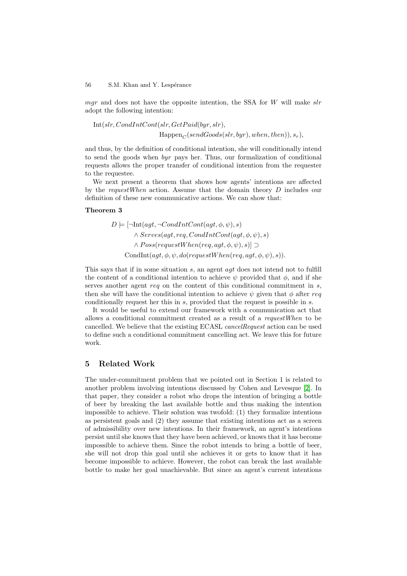$mgr$  and does not have the opposite intention, the SSA for W will make  $slr$ adopt the following intention:

 $Int(slr, CondIntCont(slr, GetPaid(byr, slr)),$  $Happen<sub>C</sub>(sendGoods(slr, byr), when, then)), s<sub>r</sub>$ ),

and thus, by the definition of conditional intention, she will conditionally intend to send the goods when byr pays her. Thus, our formalization of conditional requests allows the proper transfer of conditional intention from the requester to the requestee.

We next present a theorem that shows how agents' intentions are affected by the *requestWhen* action. Assume that the domain theory D includes our definition of these new communicative actions. We can show that:

### **Theorem 3**

$$
D \models [\neg \text{Int}(agt, \neg \text{CondIntCont}(agt, \phi, \psi), s) \land Serves(agt, req, CondIntCont(agt, \phi, \psi), s) \land Poss(requestWhen (req,agt, \phi, \psi), s)] \supset \\ \text{CondInt}(agt, \phi, \psi, do(requestWhen (req,agt, \phi, \psi), s)).
$$

This says that if in some situation s, an agent *agt* does not intend not to fulfill the content of a conditional intention to achieve  $\psi$  provided that  $\phi$ , and if she serves another agent  $req$  on the content of this conditional commitment in  $s$ , then she will have the conditional intention to achieve  $\psi$  given that  $\phi$  after req conditionally request her this in s, provided that the request is possible in s.

It would be useful to extend our framework with a communication act that allows a conditional commitment created as a result of a *requestWhen* to be cancelled. We believe that the existing ECASL *cancelRequest* action can be used to define such a conditional commitment cancelling act. We leave this for future work.

# **5 Related Work**

The under-commitment problem that we pointed out in Section 1 is related to another problem involving intentions discussed by Cohen and Levesque [2]. In that paper, they consider a robot who drops the intention of bringing a bottle of beer by breaking the last available bottle and thus making the intention impossible to achieve. Their solution was twofold: (1) they formalize intentions as persistent goals and (2) they assume that existing intentions act as a [scr](#page-14-5)een of admissibility over new intentions. In their framework, an agent's intentions persist until she knows that they have been achieved, or knows that it has become impossible to achieve them. Since the robot intends to bring a bottle of beer, she will not drop this goal until she achieves it or gets to know that it has become impossible to achieve. However, the robot can break the last available bottle to make her goal unachievable. But since an agent's current intentions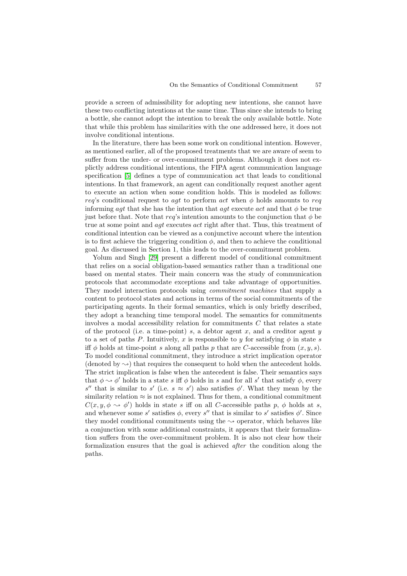provide a screen of admissibility for adopting new intentions, she cannot have these two conflicting intentions at the same time. Thus since she intends to bring a bottle, she cannot adopt the intention to break the only available bottle. Note that while this problem has similarities with the one addressed here, it does not involve conditional intentions.

In the literature, there has been some work on conditional intention. However, as mentioned earlier, all of the proposed treatments that we are aware of seem to suffer from the under- or over-commitment problems. Although it does not explictly address conditional intentions, the FIPA agent communication language specification [5] defines a type of communication act that leads to conditional intentions. In that framework, an agent can conditionally request another agent to execute an action when some condition holds. This is modeled as follows: req's conditional request to agt to perform act when  $\phi$  holds amounts to req informing agt [th](#page-14-1)at she has the intention that agt execute act and that  $\phi$  be true just before that. Note that  $req's$  intention amounts to the conjunction that  $\phi$  be true at some point and *agt* executes *act* right after that. Thus, this treatment of conditional intention can be viewed as a conjunctive account where the intention is to first achieve the triggering condition  $\phi$ , and then to achieve the conditional goal. As discussed in Section 1, this leads to the over-commitment problem.

Yolum and Singh [29] present a different model of conditional commitment that relies on a social obligation-based semantics rather than a traditional one based on mental states. Their main concern was the study of communication protocols that accommodate exceptions and take advantage of opportunities. They model interact[ion](#page-15-4) protocols using *commitment machines* that supply a content to protocol states and actions in terms of the social commitments of the participating agents. In their formal semantics, which is only briefly described, they adopt a branching time temporal model. The semantics for commitments involves a modal accessibility relation for commitments  $C$  that relates a state of the protocol (i.e. a time-point) s, a debtor agent x, and a creditor agent y to a set of paths P. Intuitively, x is responsible to y for satisfying  $\phi$  in state s iff  $\phi$  holds at time-point s along all paths p that are C-accessible from  $(x, y, s)$ . To model conditional commitment, they introduce a strict implication operator (denoted by  $\sim$ ) that requires the consequent to hold when the antecedent holds. The strict implication is false when the antecedent is false. Their semantics says that  $\phi \rightsquigarrow \phi'$  holds in a state s iff  $\phi$  holds in s and for all s' that satisfy  $\phi$ , every s'' that is similar to s' (i.e.  $s \approx s'$ ) also satisfies  $\phi'$ . What they mean by the similarity relation  $\approx$  is not explained. Thus for them, a conditional commitment  $C(x, y, \phi \rightsquigarrow \phi')$  holds in state s iff on all C-accessible paths p,  $\phi$  holds at s, and whenever some s' satisfies  $\phi$ , every s'' that is similar to s' satisfies  $\phi'$ . Since they model conditional commitments using the  $\sim$  operator, which behaves like a conjunction with some additional constraints, it appears that their formalization suffers from the over-commitment problem. It is also not clear how their formalization ensures that the goal is achieved *after* the condition along the paths.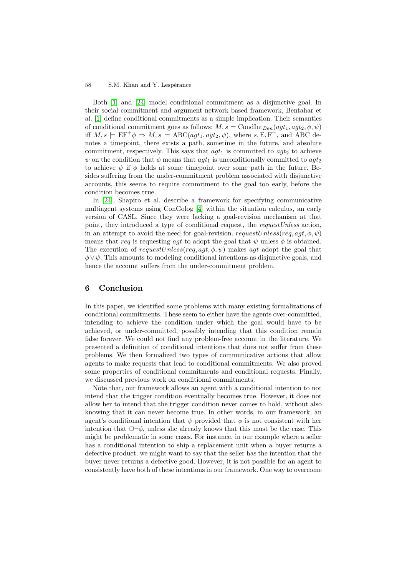Both [1] and [24] model conditional commitment as a disjunctive goal. In their social commitment and argument network based framework, Bentahar et al. [1] define conditional commitments as a simple implication. Their semantics of conditional commitment goes as follows:  $M, s \models \text{CondInt}_{Ben}(agt_1,agt_2, \phi, \psi)$ iff  $M, s \models EF^+\phi \Rightarrow M, s \models ABC(ag t_1, ag t_2, \psi)$ , where  $s, E, F^+$ , and ABC denotes a timepoint, there exists a path, sometime in the future, and absolute co[mm](#page-14-3)itment, respectively. This says that  $agt_1$  is committed to  $agt_2$  to achieve  $\psi$  on the condition that  $\phi$  means that  $agt_1$  is unconditionally committed to  $agt_2$ to achieve  $\psi$  if  $\phi$  holds at some timepoint over some path in the future. Besides suffering from the under-commitment problem associated with disjunctive accounts, this seems to require commitment to the goal too early, before the condition becomes true.

In [24], Shapiro et al. describe a framework for specifying communicative multiagent systems using ConGolog [4] within the situation calculus, an early version of CASL. Since they were lacking a goal-revision mechanism at that point, they introduced a type of conditional request, the *requestUnless* action, in an [atte](#page-15-2)mpt to avoid the need for goal-revision. request Unless (req, agt,  $\phi, \psi$ ) means that req is requesting agt to a[do](#page-14-4)pt the goal that  $\psi$  unless  $\phi$  is obtained. The execution of request Unless (req, agt,  $\phi, \psi$ ) makes agt adopt the goal that  $\phi \vee \psi$ . This amounts to modeling conditional intentions as disjunctive goals, and hence the account suffers from the under-commitment problem.

### **6 Conclusion**

In this paper, we identified some problems with many existing formalizations of conditional commitments. These seem to either have the agents over-committed, intending to achieve the condition under which the goal would have to be achieved, or under-committed, possibly intending that this condition remain false forever. We could not find any problem-free account in the literature. We presented a definition of conditional intentions that does not suffer from these problems. We then formalized two types of communicative actions that allow agents to make requests that lead to conditional commitments. We also proved some properties of conditional commitments and conditional requests. Finally, we discussed previous work on conditional commitments.

Note that, our framework allows an agent with a conditional intention to not intend that the trigger condition eventually becomes true. However, it does not allow her to intend that the trigger condition never comes to hold, without also knowing that it can never become true. In other words, in our framework, an agent's conditional intention that  $\psi$  provided that  $\phi$  is not consistent with her intention that  $\Box\neg\phi$ , unless she already knows that this must be the case. This might be problematic in some cases. For instance, in our example where a seller has a conditional intention to ship a replacement unit when a buyer returns a defective product, we might want to say that the seller has the intention that the buyer never returns a defective good. However, it is not possible for an agent to consistently have both of these intentions in our framework. One way to overcome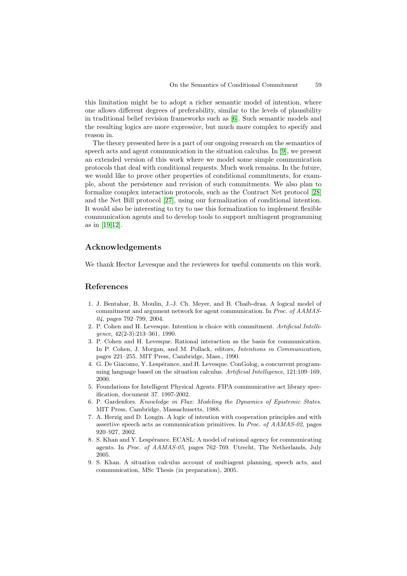this limitation might be to adopt a richer semantic model of intention, where one allows different degrees of preferability, similar to the levels of plausibility in traditional belief revision frameworks such as [6]. Such semantic models and the resulting logics are more expressive, but much more complex to specify and reason in.

The theory presented here is a part of our ongoing research on the semantics of speech acts and agent communication in the situa[tio](#page-14-7)n calculus. In [9], we present an extended version of this work where we model some simple communication protocols that deal with conditional requests. Much work remains. In the future, we would like to prove other properties of conditional commitments, for example, about the persistence and revision of such commitments. W[e a](#page-14-8)lso plan to formalize complex interaction protocols, such as the Contract Net protocol [28] and the Net Bill protocol [27], using our formalization of conditional intention. It would also be interesting to try to use this formalization to implement flexible communication agents and to develop tools to support multiagent programming as in [19,12].

## **Acknowledgements**

We t[han](#page-15-11)[k](#page-15-12) [H](#page-15-12)ector Levesque and the reviewers for useful comments on this work.

# **References**

- 1. J. Bentahar, B. Moulin, J.-J. Ch. Meyer, and B. Chaib-draa. A logical model of commitment and argument network for agent communication. In *Proc. of AAMAS-04*, pages 792–799, 2004.
- <span id="page-14-3"></span>2. P. Cohen and H. Levesque. Intention is choice with commitment. *Artificial Intelligence*, 42(2-3):213–361, 1990.
- 3. P. Cohen and H. Levesque. Rational interaction as the basis for communication. In P. Cohen, J. Morgan, and M. Pollack, editors, *Intentions in Communication*, pages 221–255. MIT Press, Cambridge, Mass., 1990.
- <span id="page-14-5"></span><span id="page-14-0"></span>4. G. De Giacomo, Y. Lespérance, and H. Levesque. ConGolog, a concurrent programming language based on the situation calculus. *Artificial Intelligence*, 121:109–169, 2000.
- <span id="page-14-4"></span>5. Foundations for Intelligent Physical Agents. FIPA communicative act library specification, document 37. 1997-2002.
- 6. P. Gardenfors. *Knowledge in Flux: Modeling the Dynamics of Epistemic States*. MIT Press, Cambridge, Massachusetts, 1988.
- <span id="page-14-1"></span>7. A. Herzig and D. Longin. A logic of intention with cooperation principles and with assertive speech acts as communication primitives. In *Proc. of AAMAS-02*, pages 920–927, 2002.
- <span id="page-14-7"></span><span id="page-14-2"></span>8. S. Khan and Y. Lespérance. ECASL: A model of rational agency for communicating agents. In *Proc. of AAMAS-05*, pages 762–769. Utrecht, The Netherlands, July 2005.
- <span id="page-14-8"></span><span id="page-14-6"></span>9. S. Khan. A situation calculus account of multiagent planning, speech acts, and communication, MSc Thesis (in preparation), 2005.